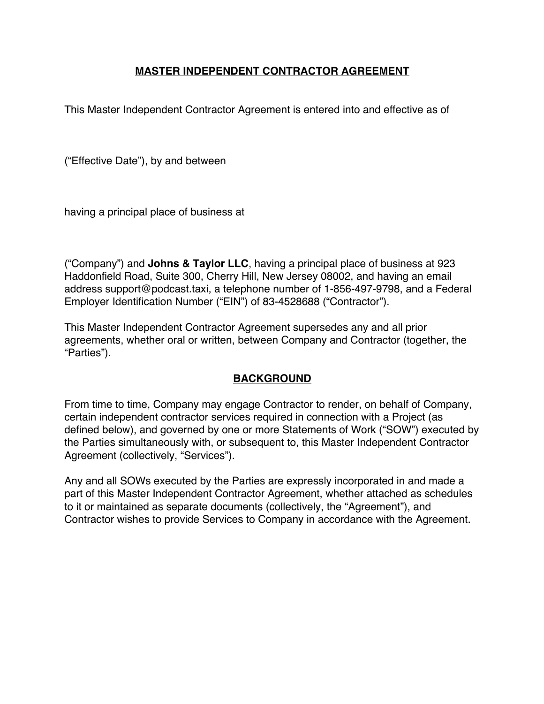#### **MASTER INDEPENDENT CONTRACTOR AGREEMENT**

This Master Independent Contractor Agreement is entered into and effective as of

("Effective Date"), by and between

having a principal place of business at

("Company") and **Johns & Taylor LLC**, having a principal place of business at 923 Haddonfield Road, Suite 300, Cherry Hill, New Jersey 08002, and having an email address support@podcast.taxi, a telephone number of 1-856-497-9798, and a Federal Employer Identification Number ("EIN") of 83-4528688 ("Contractor").

This Master Independent Contractor Agreement supersedes any and all prior agreements, whether oral or written, between Company and Contractor (together, the "Parties").

### **BACKGROUND**

From time to time, Company may engage Contractor to render, on behalf of Company, certain independent contractor services required in connection with a Project (as defined below), and governed by one or more Statements of Work ("SOW") executed by the Parties simultaneously with, or subsequent to, this Master Independent Contractor Agreement (collectively, "Services").

Any and all SOWs executed by the Parties are expressly incorporated in and made a part of this Master Independent Contractor Agreement, whether attached as schedules to it or maintained as separate documents (collectively, the "Agreement"), and Contractor wishes to provide Services to Company in accordance with the Agreement.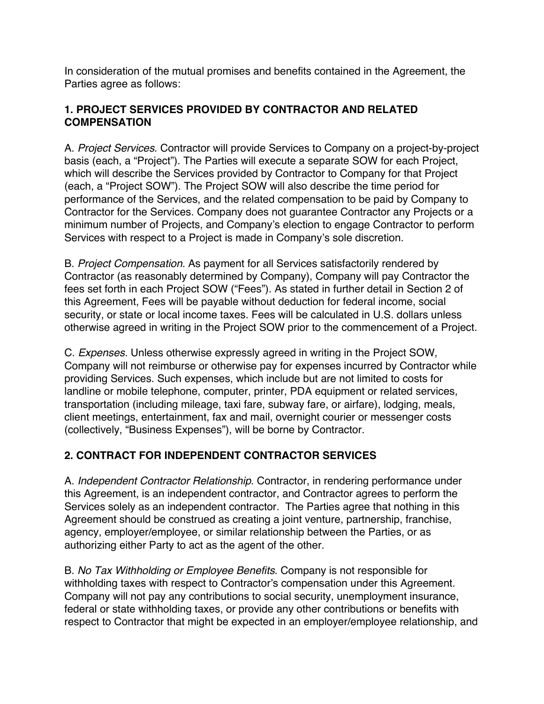In consideration of the mutual promises and benefits contained in the Agreement, the Parties agree as follows:

### **1. PROJECT SERVICES PROVIDED BY CONTRACTOR AND RELATED COMPENSATION**

A. *Project Services*. Contractor will provide Services to Company on a project-by-project basis (each, a "Project"). The Parties will execute a separate SOW for each Project, which will describe the Services provided by Contractor to Company for that Project (each, a "Project SOW"). The Project SOW will also describe the time period for performance of the Services, and the related compensation to be paid by Company to Contractor for the Services. Company does not guarantee Contractor any Projects or a minimum number of Projects, and Company's election to engage Contractor to perform Services with respect to a Project is made in Company's sole discretion.

B. *Project Compensation.* As payment for all Services satisfactorily rendered by Contractor (as reasonably determined by Company), Company will pay Contractor the fees set forth in each Project SOW ("Fees"). As stated in further detail in Section 2 of this Agreement, Fees will be payable without deduction for federal income, social security, or state or local income taxes. Fees will be calculated in U.S. dollars unless otherwise agreed in writing in the Project SOW prior to the commencement of a Project.

C. *Expenses.* Unless otherwise expressly agreed in writing in the Project SOW, Company will not reimburse or otherwise pay for expenses incurred by Contractor while providing Services. Such expenses, which include but are not limited to costs for landline or mobile telephone, computer, printer, PDA equipment or related services, transportation (including mileage, taxi fare, subway fare, or airfare), lodging, meals, client meetings, entertainment, fax and mail, overnight courier or messenger costs (collectively, "Business Expenses"), will be borne by Contractor.

### **2. CONTRACT FOR INDEPENDENT CONTRACTOR SERVICES**

A. *Independent Contractor Relationship*. Contractor, in rendering performance under this Agreement, is an independent contractor, and Contractor agrees to perform the Services solely as an independent contractor. The Parties agree that nothing in this Agreement should be construed as creating a joint venture, partnership, franchise, agency, employer/employee, or similar relationship between the Parties, or as authorizing either Party to act as the agent of the other.

B. *No Tax Withholding or Employee Benefits*. Company is not responsible for withholding taxes with respect to Contractor's compensation under this Agreement. Company will not pay any contributions to social security, unemployment insurance, federal or state withholding taxes, or provide any other contributions or benefits with respect to Contractor that might be expected in an employer/employee relationship, and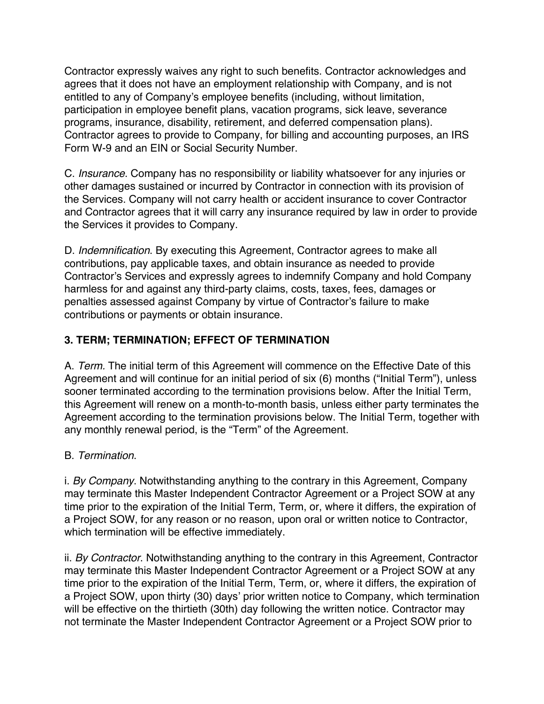Contractor expressly waives any right to such benefits. Contractor acknowledges and agrees that it does not have an employment relationship with Company, and is not entitled to any of Company's employee benefits (including, without limitation, participation in employee benefit plans, vacation programs, sick leave, severance programs, insurance, disability, retirement, and deferred compensation plans). Contractor agrees to provide to Company, for billing and accounting purposes, an IRS Form W-9 and an EIN or Social Security Number.

C. *Insurance*. Company has no responsibility or liability whatsoever for any injuries or other damages sustained or incurred by Contractor in connection with its provision of the Services. Company will not carry health or accident insurance to cover Contractor and Contractor agrees that it will carry any insurance required by law in order to provide the Services it provides to Company.

D. *Indemnification*. By executing this Agreement, Contractor agrees to make all contributions, pay applicable taxes, and obtain insurance as needed to provide Contractor's Services and expressly agrees to indemnify Company and hold Company harmless for and against any third-party claims, costs, taxes, fees, damages or penalties assessed against Company by virtue of Contractor's failure to make contributions or payments or obtain insurance.

### **3. TERM; TERMINATION; EFFECT OF TERMINATION**

A. *Term.* The initial term of this Agreement will commence on the Effective Date of this Agreement and will continue for an initial period of six (6) months ("Initial Term"), unless sooner terminated according to the termination provisions below. After the Initial Term, this Agreement will renew on a month-to-month basis, unless either party terminates the Agreement according to the termination provisions below. The Initial Term, together with any monthly renewal period, is the "Term" of the Agreement.

### B. *Termination*.

i. *By Company*. Notwithstanding anything to the contrary in this Agreement, Company may terminate this Master Independent Contractor Agreement or a Project SOW at any time prior to the expiration of the Initial Term, Term, or, where it differs, the expiration of a Project SOW, for any reason or no reason, upon oral or written notice to Contractor, which termination will be effective immediately.

ii. *By Contractor*. Notwithstanding anything to the contrary in this Agreement, Contractor may terminate this Master Independent Contractor Agreement or a Project SOW at any time prior to the expiration of the Initial Term, Term, or, where it differs, the expiration of a Project SOW, upon thirty (30) days' prior written notice to Company, which termination will be effective on the thirtieth (30th) day following the written notice. Contractor may not terminate the Master Independent Contractor Agreement or a Project SOW prior to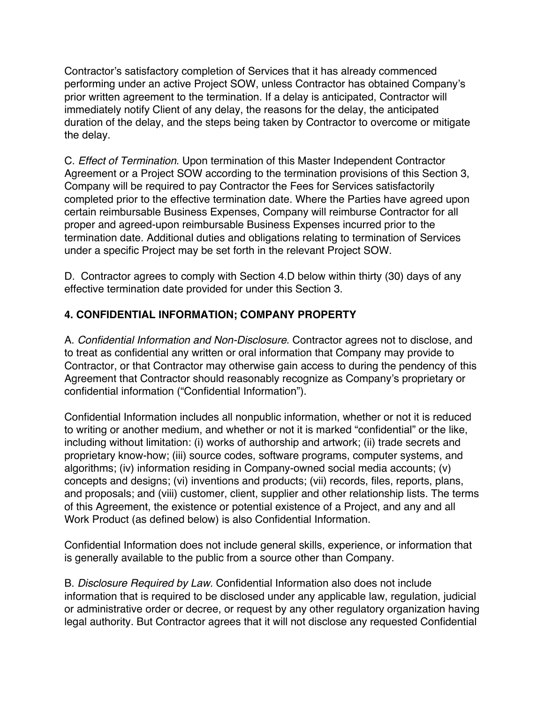Contractor's satisfactory completion of Services that it has already commenced performing under an active Project SOW, unless Contractor has obtained Company's prior written agreement to the termination. If a delay is anticipated, Contractor will immediately notify Client of any delay, the reasons for the delay, the anticipated duration of the delay, and the steps being taken by Contractor to overcome or mitigate the delay.

C. *Effect of Termination*. Upon termination of this Master Independent Contractor Agreement or a Project SOW according to the termination provisions of this Section 3, Company will be required to pay Contractor the Fees for Services satisfactorily completed prior to the effective termination date. Where the Parties have agreed upon certain reimbursable Business Expenses, Company will reimburse Contractor for all proper and agreed-upon reimbursable Business Expenses incurred prior to the termination date. Additional duties and obligations relating to termination of Services under a specific Project may be set forth in the relevant Project SOW.

D. Contractor agrees to comply with Section 4.D below within thirty (30) days of any effective termination date provided for under this Section 3.

# **4. CONFIDENTIAL INFORMATION; COMPANY PROPERTY**

A. *Confidential Information and Non-Disclosure*. Contractor agrees not to disclose, and to treat as confidential any written or oral information that Company may provide to Contractor, or that Contractor may otherwise gain access to during the pendency of this Agreement that Contractor should reasonably recognize as Company's proprietary or confidential information ("Confidential Information").

Confidential Information includes all nonpublic information, whether or not it is reduced to writing or another medium, and whether or not it is marked "confidential" or the like, including without limitation: (i) works of authorship and artwork; (ii) trade secrets and proprietary know-how; (iii) source codes, software programs, computer systems, and algorithms; (iv) information residing in Company-owned social media accounts; (v) concepts and designs; (vi) inventions and products; (vii) records, files, reports, plans, and proposals; and (viii) customer, client, supplier and other relationship lists. The terms of this Agreement, the existence or potential existence of a Project, and any and all Work Product (as defined below) is also Confidential Information.

Confidential Information does not include general skills, experience, or information that is generally available to the public from a source other than Company.

B. *Disclosure Required by Law*. Confidential Information also does not include information that is required to be disclosed under any applicable law, regulation, judicial or administrative order or decree, or request by any other regulatory organization having legal authority. But Contractor agrees that it will not disclose any requested Confidential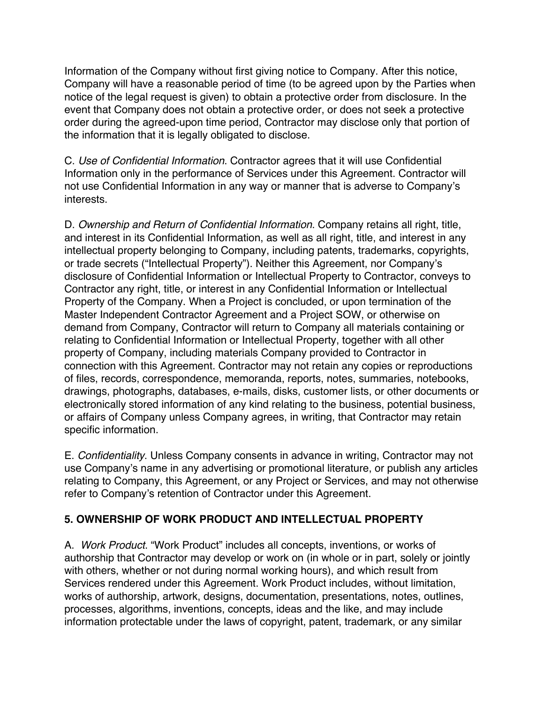Information of the Company without first giving notice to Company. After this notice, Company will have a reasonable period of time (to be agreed upon by the Parties when notice of the legal request is given) to obtain a protective order from disclosure. In the event that Company does not obtain a protective order, or does not seek a protective order during the agreed-upon time period, Contractor may disclose only that portion of the information that it is legally obligated to disclose.

C. *Use of Confidential Information*. Contractor agrees that it will use Confidential Information only in the performance of Services under this Agreement. Contractor will not use Confidential Information in any way or manner that is adverse to Company's interests.

D. *Ownership and Return of Confidential Information*. Company retains all right, title, and interest in its Confidential Information, as well as all right, title, and interest in any intellectual property belonging to Company, including patents, trademarks, copyrights, or trade secrets ("Intellectual Property"). Neither this Agreement, nor Company's disclosure of Confidential Information or Intellectual Property to Contractor, conveys to Contractor any right, title, or interest in any Confidential Information or Intellectual Property of the Company. When a Project is concluded, or upon termination of the Master Independent Contractor Agreement and a Project SOW, or otherwise on demand from Company, Contractor will return to Company all materials containing or relating to Confidential Information or Intellectual Property, together with all other property of Company, including materials Company provided to Contractor in connection with this Agreement. Contractor may not retain any copies or reproductions of files, records, correspondence, memoranda, reports, notes, summaries, notebooks, drawings, photographs, databases, e-mails, disks, customer lists, or other documents or electronically stored information of any kind relating to the business, potential business, or affairs of Company unless Company agrees, in writing, that Contractor may retain specific information.

E. *Confidentiality*. Unless Company consents in advance in writing, Contractor may not use Company's name in any advertising or promotional literature, or publish any articles relating to Company, this Agreement, or any Project or Services, and may not otherwise refer to Company's retention of Contractor under this Agreement.

# **5. OWNERSHIP OF WORK PRODUCT AND INTELLECTUAL PROPERTY**

A. *Work Product*. "Work Product" includes all concepts, inventions, or works of authorship that Contractor may develop or work on (in whole or in part, solely or jointly with others, whether or not during normal working hours), and which result from Services rendered under this Agreement. Work Product includes, without limitation, works of authorship, artwork, designs, documentation, presentations, notes, outlines, processes, algorithms, inventions, concepts, ideas and the like, and may include information protectable under the laws of copyright, patent, trademark, or any similar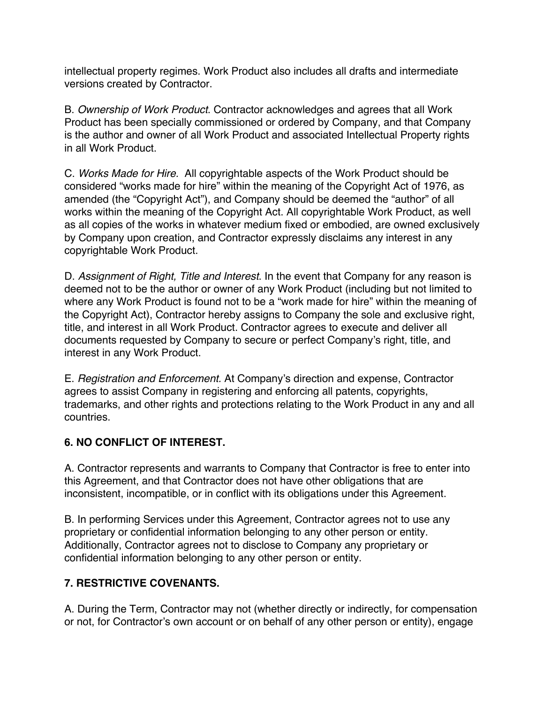intellectual property regimes. Work Product also includes all drafts and intermediate versions created by Contractor.

B. *Ownership of Work Product*. Contractor acknowledges and agrees that all Work Product has been specially commissioned or ordered by Company, and that Company is the author and owner of all Work Product and associated Intellectual Property rights in all Work Product.

C. *Works Made for Hire.* All copyrightable aspects of the Work Product should be considered "works made for hire" within the meaning of the Copyright Act of 1976, as amended (the "Copyright Act"), and Company should be deemed the "author" of all works within the meaning of the Copyright Act. All copyrightable Work Product, as well as all copies of the works in whatever medium fixed or embodied, are owned exclusively by Company upon creation, and Contractor expressly disclaims any interest in any copyrightable Work Product.

D. *Assignment of Right, Title and Interest*. In the event that Company for any reason is deemed not to be the author or owner of any Work Product (including but not limited to where any Work Product is found not to be a "work made for hire" within the meaning of the Copyright Act), Contractor hereby assigns to Company the sole and exclusive right, title, and interest in all Work Product. Contractor agrees to execute and deliver all documents requested by Company to secure or perfect Company's right, title, and interest in any Work Product.

E. *Registration and Enforcement.* At Company's direction and expense, Contractor agrees to assist Company in registering and enforcing all patents, copyrights, trademarks, and other rights and protections relating to the Work Product in any and all countries.

### **6. NO CONFLICT OF INTEREST.**

A. Contractor represents and warrants to Company that Contractor is free to enter into this Agreement, and that Contractor does not have other obligations that are inconsistent, incompatible, or in conflict with its obligations under this Agreement.

B. In performing Services under this Agreement, Contractor agrees not to use any proprietary or confidential information belonging to any other person or entity. Additionally, Contractor agrees not to disclose to Company any proprietary or confidential information belonging to any other person or entity.

# **7. RESTRICTIVE COVENANTS.**

A. During the Term, Contractor may not (whether directly or indirectly, for compensation or not, for Contractor's own account or on behalf of any other person or entity), engage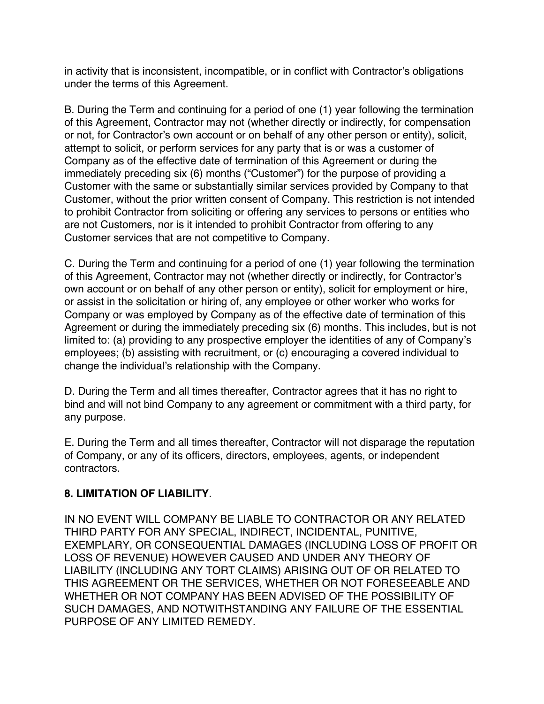in activity that is inconsistent, incompatible, or in conflict with Contractor's obligations under the terms of this Agreement.

B. During the Term and continuing for a period of one (1) year following the termination of this Agreement, Contractor may not (whether directly or indirectly, for compensation or not, for Contractor's own account or on behalf of any other person or entity), solicit, attempt to solicit, or perform services for any party that is or was a customer of Company as of the effective date of termination of this Agreement or during the immediately preceding six (6) months ("Customer") for the purpose of providing a Customer with the same or substantially similar services provided by Company to that Customer, without the prior written consent of Company. This restriction is not intended to prohibit Contractor from soliciting or offering any services to persons or entities who are not Customers, nor is it intended to prohibit Contractor from offering to any Customer services that are not competitive to Company.

C. During the Term and continuing for a period of one (1) year following the termination of this Agreement, Contractor may not (whether directly or indirectly, for Contractor's own account or on behalf of any other person or entity), solicit for employment or hire, or assist in the solicitation or hiring of, any employee or other worker who works for Company or was employed by Company as of the effective date of termination of this Agreement or during the immediately preceding six (6) months. This includes, but is not limited to: (a) providing to any prospective employer the identities of any of Company's employees; (b) assisting with recruitment, or (c) encouraging a covered individual to change the individual's relationship with the Company.

D. During the Term and all times thereafter, Contractor agrees that it has no right to bind and will not bind Company to any agreement or commitment with a third party, for any purpose.

E. During the Term and all times thereafter, Contractor will not disparage the reputation of Company, or any of its officers, directors, employees, agents, or independent contractors.

### **8. LIMITATION OF LIABILITY**.

IN NO EVENT WILL COMPANY BE LIABLE TO CONTRACTOR OR ANY RELATED THIRD PARTY FOR ANY SPECIAL, INDIRECT, INCIDENTAL, PUNITIVE, EXEMPLARY, OR CONSEQUENTIAL DAMAGES (INCLUDING LOSS OF PROFIT OR LOSS OF REVENUE) HOWEVER CAUSED AND UNDER ANY THEORY OF LIABILITY (INCLUDING ANY TORT CLAIMS) ARISING OUT OF OR RELATED TO THIS AGREEMENT OR THE SERVICES, WHETHER OR NOT FORESEEABLE AND WHETHER OR NOT COMPANY HAS BEEN ADVISED OF THE POSSIBILITY OF SUCH DAMAGES, AND NOTWITHSTANDING ANY FAILURE OF THE ESSENTIAL PURPOSE OF ANY LIMITED REMEDY.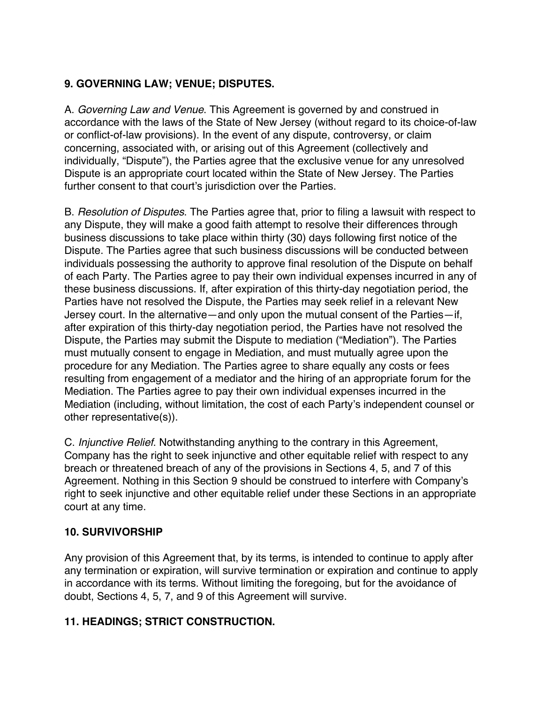# **9. GOVERNING LAW; VENUE; DISPUTES.**

A. *Governing Law and Venue*. This Agreement is governed by and construed in accordance with the laws of the State of New Jersey (without regard to its choice-of-law or conflict-of-law provisions). In the event of any dispute, controversy, or claim concerning, associated with, or arising out of this Agreement (collectively and individually, "Dispute"), the Parties agree that the exclusive venue for any unresolved Dispute is an appropriate court located within the State of New Jersey. The Parties further consent to that court's jurisdiction over the Parties.

B. *Resolution of Disputes*. The Parties agree that, prior to filing a lawsuit with respect to any Dispute, they will make a good faith attempt to resolve their differences through business discussions to take place within thirty (30) days following first notice of the Dispute. The Parties agree that such business discussions will be conducted between individuals possessing the authority to approve final resolution of the Dispute on behalf of each Party. The Parties agree to pay their own individual expenses incurred in any of these business discussions. If, after expiration of this thirty-day negotiation period, the Parties have not resolved the Dispute, the Parties may seek relief in a relevant New Jersey court. In the alternative—and only upon the mutual consent of the Parties—if, after expiration of this thirty-day negotiation period, the Parties have not resolved the Dispute, the Parties may submit the Dispute to mediation ("Mediation"). The Parties must mutually consent to engage in Mediation, and must mutually agree upon the procedure for any Mediation. The Parties agree to share equally any costs or fees resulting from engagement of a mediator and the hiring of an appropriate forum for the Mediation. The Parties agree to pay their own individual expenses incurred in the Mediation (including, without limitation, the cost of each Party's independent counsel or other representative(s)).

C. *Injunctive Relief*. Notwithstanding anything to the contrary in this Agreement, Company has the right to seek injunctive and other equitable relief with respect to any breach or threatened breach of any of the provisions in Sections 4, 5, and 7 of this Agreement. Nothing in this Section 9 should be construed to interfere with Company's right to seek injunctive and other equitable relief under these Sections in an appropriate court at any time.

# **10. SURVIVORSHIP**

Any provision of this Agreement that, by its terms, is intended to continue to apply after any termination or expiration, will survive termination or expiration and continue to apply in accordance with its terms. Without limiting the foregoing, but for the avoidance of doubt, Sections 4, 5, 7, and 9 of this Agreement will survive.

# **11. HEADINGS; STRICT CONSTRUCTION.**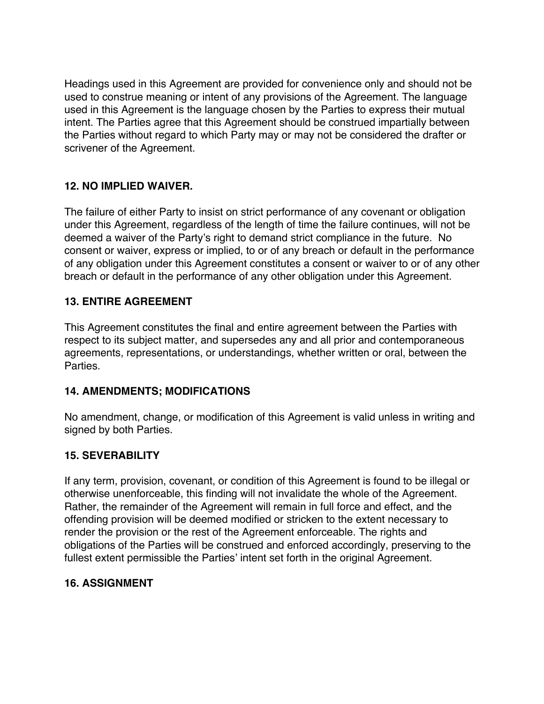Headings used in this Agreement are provided for convenience only and should not be used to construe meaning or intent of any provisions of the Agreement. The language used in this Agreement is the language chosen by the Parties to express their mutual intent. The Parties agree that this Agreement should be construed impartially between the Parties without regard to which Party may or may not be considered the drafter or scrivener of the Agreement.

### **12. NO IMPLIED WAIVER.**

The failure of either Party to insist on strict performance of any covenant or obligation under this Agreement, regardless of the length of time the failure continues, will not be deemed a waiver of the Party's right to demand strict compliance in the future. No consent or waiver, express or implied, to or of any breach or default in the performance of any obligation under this Agreement constitutes a consent or waiver to or of any other breach or default in the performance of any other obligation under this Agreement.

### **13. ENTIRE AGREEMENT**

This Agreement constitutes the final and entire agreement between the Parties with respect to its subject matter, and supersedes any and all prior and contemporaneous agreements, representations, or understandings, whether written or oral, between the Parties.

### **14. AMENDMENTS; MODIFICATIONS**

No amendment, change, or modification of this Agreement is valid unless in writing and signed by both Parties.

### **15. SEVERABILITY**

If any term, provision, covenant, or condition of this Agreement is found to be illegal or otherwise unenforceable, this finding will not invalidate the whole of the Agreement. Rather, the remainder of the Agreement will remain in full force and effect, and the offending provision will be deemed modified or stricken to the extent necessary to render the provision or the rest of the Agreement enforceable. The rights and obligations of the Parties will be construed and enforced accordingly, preserving to the fullest extent permissible the Parties' intent set forth in the original Agreement.

### **16. ASSIGNMENT**